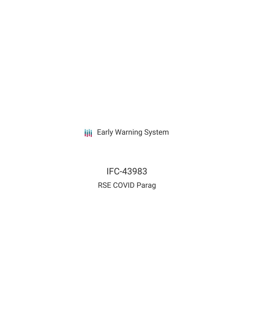**III** Early Warning System

IFC-43983 RSE COVID Parag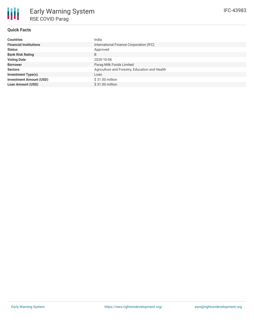## **Quick Facts**

冊

| <b>Countries</b>               | India                                          |
|--------------------------------|------------------------------------------------|
| <b>Financial Institutions</b>  | International Finance Corporation (IFC)        |
| <b>Status</b>                  | Approved                                       |
| <b>Bank Risk Rating</b>        | B                                              |
| <b>Voting Date</b>             | 2020-10-06                                     |
| <b>Borrower</b>                | Parag Milk Foods Limited                       |
| <b>Sectors</b>                 | Agriculture and Forestry, Education and Health |
| <b>Investment Type(s)</b>      | Loan                                           |
| <b>Investment Amount (USD)</b> | \$31.00 million                                |
| <b>Loan Amount (USD)</b>       | $$31.00$ million                               |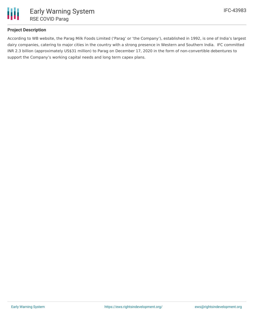

## **Project Description**

According to WB website, the Parag Milk Foods Limited ('Parag' or 'the Company'), established in 1992, is one of India's largest dairy companies, catering to major cities in the country with a strong presence in Western and Southern India. IFC committed INR 2.3 billion (approximately US\$31 million) to Parag on December 17, 2020 in the form of non-convertible debentures to support the Company's working capital needs and long term capex plans.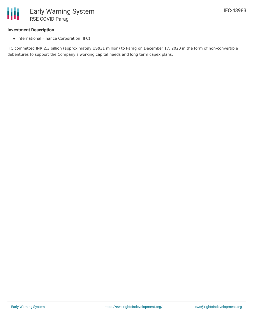

#### **Investment Description**

• International Finance Corporation (IFC)

IFC committed INR 2.3 billion (approximately US\$31 million) to Parag on December 17, 2020 in the form of non-convertible debentures to support the Company's working capital needs and long term capex plans.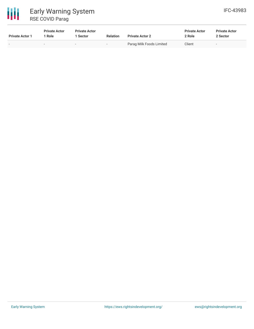# 冊 Early Warning System RSE COVID Parag

| <b>Private Actor 1</b>   | <b>Private Actor</b><br>Role | <b>Private Actor</b><br>Sector | <b>Relation</b> | <b>Private Actor 2</b>   | <b>Private Actor</b><br>2 Role | <b>Private Actor</b><br>2 Sector |  |
|--------------------------|------------------------------|--------------------------------|-----------------|--------------------------|--------------------------------|----------------------------------|--|
| $\overline{\phantom{a}}$ | $\sim$                       | $\overline{\phantom{0}}$       |                 | Parag Milk Foods Limited | Client                         | $\overline{\phantom{0}}$         |  |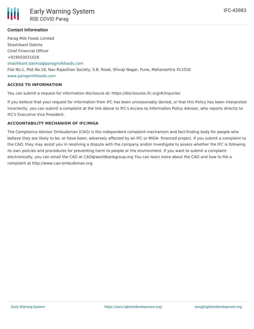IFC-43983



## **Contact Information**

Parag Milk Foods Limited Shashikant Dalmia Chief Financial Officer +919503031028 [shashikant.dalmia@paragmilkfoods.com](mailto:shashikant.dalmia@paragmilkfoods.com) Flat No.1, Plot No.19, Nav Rajasthan Society, S.B. Road, Shivaji Nagar, Pune, Maharashtra 411016 [www.paragmilkfoods.com](http://www.paragmilkfoods.com)

### **ACCESS TO INFORMATION**

You can submit a request for information disclosure at: https://disclosures.ifc.org/#/inquiries

If you believe that your request for information from IFC has been unreasonably denied, or that this Policy has been interpreted incorrectly, you can submit a complaint at the link above to IFC's Access to Information Policy Advisor, who reports directly to IFC's Executive Vice President.

### **ACCOUNTABILITY MECHANISM OF IFC/MIGA**

The Compliance Advisor Ombudsman (CAO) is the independent complaint mechanism and fact-finding body for people who believe they are likely to be, or have been, adversely affected by an IFC or MIGA- financed project. If you submit a complaint to the CAO, they may assist you in resolving a dispute with the company and/or investigate to assess whether the IFC is following its own policies and procedures for preventing harm to people or the environment. If you want to submit a complaint electronically, you can email the CAO at CAO@worldbankgroup.org You can learn more about the CAO and how to file a complaint at http://www.cao-ombudsman.org